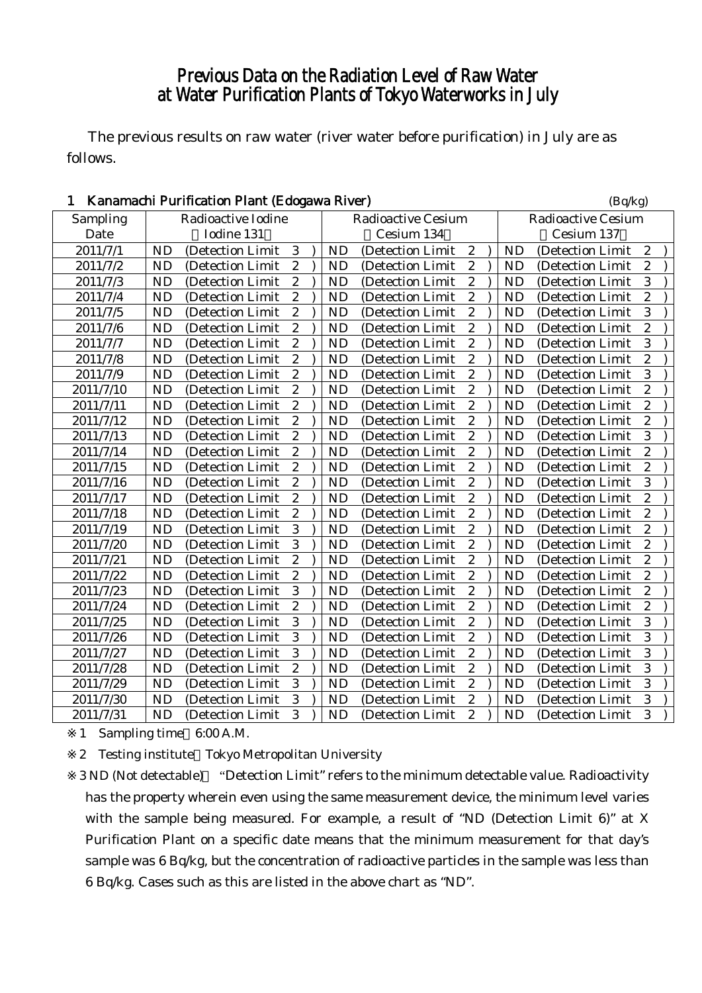# Previous Data on the Radiation Level of Raw Water at Water Purification Plants of Tokyo Waterworks in July

The previous results on raw water (river water before purification) in July are as follows.

| Kanamachi Purification Plant (Edogawa River)<br>1 |                    |                   |                  |  |           |                           |                  |                           |           | (Bq/kg)           |                  |  |
|---------------------------------------------------|--------------------|-------------------|------------------|--|-----------|---------------------------|------------------|---------------------------|-----------|-------------------|------------------|--|
| Sampling                                          | Radioactive Iodine |                   |                  |  |           | <b>Radioactive Cesium</b> |                  | <b>Radioactive Cesium</b> |           |                   |                  |  |
| Date                                              |                    | Iodine 131        |                  |  |           | Cesium 134                |                  |                           |           | Cesium 137        |                  |  |
| 2011/7/1                                          | <b>ND</b>          | (Detection Limit  | 3                |  | <b>ND</b> | (Detection Limit)         | $\boldsymbol{2}$ |                           | <b>ND</b> | (Detection Limit) | $\overline{2}$   |  |
| 2011/7/2                                          | <b>ND</b>          | (Detection Limit  | $\boldsymbol{2}$ |  | <b>ND</b> | (Detection Limit)         | $\boldsymbol{2}$ |                           | <b>ND</b> | (Detection Limit) | $\overline{2}$   |  |
| 2011/7/3                                          | <b>ND</b>          | (Detection Limit  | $\overline{2}$   |  | <b>ND</b> | (Detection Limit          | $\boldsymbol{2}$ |                           | <b>ND</b> | (Detection Limit  | 3                |  |
| 2011/7/4                                          | <b>ND</b>          | (Detection Limit  | $\boldsymbol{2}$ |  | <b>ND</b> | (Detection Limit          | $\boldsymbol{2}$ |                           | <b>ND</b> | (Detection Limit  | $\overline{c}$   |  |
| 2011/7/5                                          | <b>ND</b>          | (Detection Limit  | $\overline{c}$   |  | <b>ND</b> | (Detection Limit          | $\overline{c}$   |                           | <b>ND</b> | (Detection Limit  | 3                |  |
| 2011/7/6                                          | <b>ND</b>          | (Detection Limit  | $\overline{2}$   |  | <b>ND</b> | (Detection Limit          | $\overline{2}$   |                           | <b>ND</b> | (Detection Limit  | $\overline{c}$   |  |
| 2011/7/7                                          | <b>ND</b>          | (Detection Limit) | $\overline{2}$   |  | <b>ND</b> | (Detection Limit)         | $\overline{c}$   |                           | <b>ND</b> | (Detection Limit  | 3                |  |
| 2011/7/8                                          | <b>ND</b>          | (Detection Limit  | $\boldsymbol{2}$ |  | <b>ND</b> | (Detection Limit)         | $\boldsymbol{2}$ |                           | <b>ND</b> | (Detection Limit  | $\overline{c}$   |  |
| 2011/7/9                                          | <b>ND</b>          | (Detection Limit  | $\boldsymbol{2}$ |  | <b>ND</b> | (Detection Limit          | $\boldsymbol{2}$ |                           | <b>ND</b> | (Detection Limit  | 3                |  |
| 2011/7/10                                         | <b>ND</b>          | (Detection Limit  | $\overline{c}$   |  | <b>ND</b> | (Detection Limit          | $\overline{c}$   |                           | <b>ND</b> | (Detection Limit  | $\overline{c}$   |  |
| 2011/7/11                                         | <b>ND</b>          | (Detection Limit  | $\overline{c}$   |  | <b>ND</b> | (Detection Limit)         | $\overline{2}$   |                           | <b>ND</b> | (Detection Limit  | $\overline{c}$   |  |
| 2011/7/12                                         | <b>ND</b>          | (Detection Limit  | $\overline{c}$   |  | <b>ND</b> | (Detection Limit)         | $\boldsymbol{2}$ |                           | <b>ND</b> | (Detection Limit) | $\overline{c}$   |  |
| 2011/7/13                                         | <b>ND</b>          | (Detection Limit  | $\overline{c}$   |  | <b>ND</b> | (Detection Limit          | $\boldsymbol{2}$ |                           | <b>ND</b> | (Detection Limit  | 3                |  |
| 2011/7/14                                         | <b>ND</b>          | (Detection Limit  | $\boldsymbol{2}$ |  | <b>ND</b> | (Detection Limit          | $\boldsymbol{2}$ |                           | <b>ND</b> | (Detection Limit  | $\overline{c}$   |  |
| 2011/7/15                                         | <b>ND</b>          | (Detection Limit  | $\overline{c}$   |  | <b>ND</b> | (Detection Limit          | $\overline{c}$   |                           | <b>ND</b> | (Detection Limit  | $\overline{c}$   |  |
| 2011/7/16                                         | <b>ND</b>          | (Detection Limit  | $\overline{2}$   |  | <b>ND</b> | (Detection Limit          | $\overline{2}$   |                           | <b>ND</b> | (Detection Limit  | 3                |  |
| 2011/7/17                                         | <b>ND</b>          | (Detection Limit) | $\overline{2}$   |  | <b>ND</b> | (Detection Limit)         | $\boldsymbol{2}$ |                           | <b>ND</b> | (Detection Limit) | $\overline{2}$   |  |
| 2011/7/18                                         | <b>ND</b>          | (Detection Limit  | $\boldsymbol{2}$ |  | <b>ND</b> | (Detection Limit)         | $\boldsymbol{2}$ |                           | <b>ND</b> | (Detection Limit  | $\overline{c}$   |  |
| 2011/7/19                                         | <b>ND</b>          | (Detection Limit  | 3                |  | <b>ND</b> | (Detection Limit          | $\boldsymbol{2}$ |                           | <b>ND</b> | (Detection Limit  | $\boldsymbol{2}$ |  |
| 2011/7/20                                         | <b>ND</b>          | (Detection Limit  | 3                |  | <b>ND</b> | (Detection Limit          | $\overline{c}$   |                           | <b>ND</b> | (Detection Limit  | $\overline{c}$   |  |
| 2011/7/21                                         | <b>ND</b>          | (Detection Limit  | $\overline{c}$   |  | <b>ND</b> | (Detection Limit)         | $\overline{c}$   |                           | <b>ND</b> | (Detection Limit  | $\overline{c}$   |  |
| 2011/7/22                                         | <b>ND</b>          | (Detection Limit  | $\overline{c}$   |  | <b>ND</b> | (Detection Limit          | $\boldsymbol{2}$ |                           | <b>ND</b> | (Detection Limit  | $\overline{c}$   |  |
| 2011/7/23                                         | <b>ND</b>          | (Detection Limit  | 3                |  | <b>ND</b> | (Detection Limit          | $\boldsymbol{2}$ |                           | <b>ND</b> | (Detection Limit  | $\overline{c}$   |  |
| 2011/7/24                                         | <b>ND</b>          | (Detection Limit  | $\boldsymbol{2}$ |  | <b>ND</b> | (Detection Limit          | $\boldsymbol{2}$ |                           | <b>ND</b> | (Detection Limit  | $\boldsymbol{2}$ |  |
| 2011/7/25                                         | <b>ND</b>          | (Detection Limit  | $\overline{3}$   |  | <b>ND</b> | (Detection Limit          | $\overline{c}$   |                           | <b>ND</b> | (Detection Limit  | 3                |  |
| 2011/7/26                                         | <b>ND</b>          | (Detection Limit  | $\overline{3}$   |  | <b>ND</b> | (Detection Limit          | $\overline{2}$   |                           | <b>ND</b> | (Detection Limit  | $\overline{3}$   |  |
| 2011/7/27                                         | <b>ND</b>          | (Detection Limit  | $\overline{3}$   |  | <b>ND</b> | (Detection Limit)         | $\overline{c}$   |                           | <b>ND</b> | (Detection Limit  | $\overline{3}$   |  |
| 2011/7/28                                         | <b>ND</b>          | (Detection Limit  | $\overline{c}$   |  | <b>ND</b> | (Detection Limit          | $\boldsymbol{2}$ |                           | <b>ND</b> | (Detection Limit  | 3                |  |
| 2011/7/29                                         | <b>ND</b>          | (Detection Limit  | 3                |  | <b>ND</b> | (Detection Limit          | $\boldsymbol{2}$ |                           | <b>ND</b> | (Detection Limit  | 3                |  |
| 2011/7/30                                         | <b>ND</b>          | (Detection Limit  | 3                |  | <b>ND</b> | (Detection Limit          | $\boldsymbol{2}$ |                           | <b>ND</b> | (Detection Limit  | 3                |  |
| 2011/7/31                                         | <b>ND</b>          | (Detection Limit) | 3                |  | <b>ND</b> | (Detection Limit)         | $\overline{c}$   |                           | <b>ND</b> | (Detection Limit) | 3                |  |

1 Sampling time 6:00 A.M.

2 Testing institute Tokyo Metropolitan University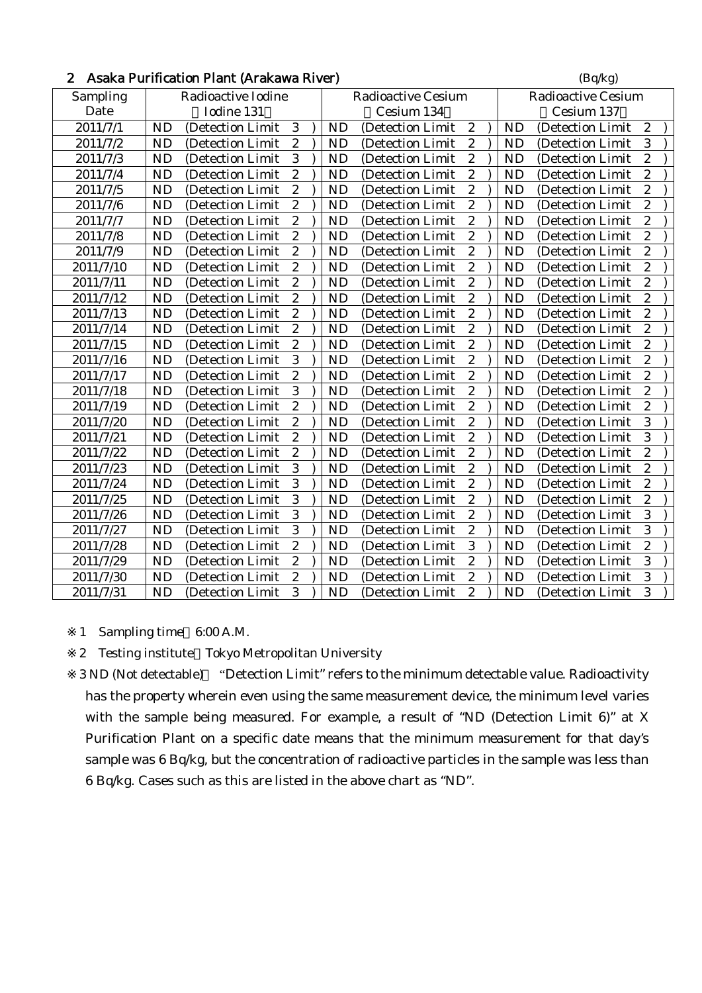| Asaka Purification Plant (Arakawa River)<br>$\overline{2}$ |                    |                   |                  |  |           |                           |                  |                           |           | (Bq/kg)           |                  |
|------------------------------------------------------------|--------------------|-------------------|------------------|--|-----------|---------------------------|------------------|---------------------------|-----------|-------------------|------------------|
| Sampling                                                   | Radioactive Iodine |                   |                  |  |           | <b>Radioactive Cesium</b> |                  | <b>Radioactive Cesium</b> |           |                   |                  |
| Date                                                       |                    | Iodine 131        |                  |  |           | Cesium 134                |                  |                           |           | Cesium 137        |                  |
| 2011/7/1                                                   | <b>ND</b>          | (Detection Limit  | 3                |  | <b>ND</b> | (Detection Limit          | $\boldsymbol{2}$ |                           | <b>ND</b> | (Detection Limit  | $\boldsymbol{2}$ |
| 2011/7/2                                                   | <b>ND</b>          | (Detection Limit  | $\boldsymbol{2}$ |  | <b>ND</b> | (Detection Limit          | $\boldsymbol{2}$ |                           | <b>ND</b> | (Detection Limit  | 3                |
| 2011/7/3                                                   | <b>ND</b>          | (Detection Limit  | 3                |  | <b>ND</b> | (Detection Limit          | $\overline{c}$   |                           | <b>ND</b> | (Detection Limit  | $\overline{c}$   |
| 2011/7/4                                                   | <b>ND</b>          | (Detection Limit  | $\boldsymbol{2}$ |  | <b>ND</b> | (Detection Limit          | $\boldsymbol{2}$ |                           | <b>ND</b> | (Detection Limit  | $\boldsymbol{2}$ |
| 2011/7/5                                                   | <b>ND</b>          | (Detection Limit  | $\overline{c}$   |  | <b>ND</b> | (Detection Limit          | $\boldsymbol{2}$ |                           | <b>ND</b> | (Detection Limit  | $\overline{c}$   |
| 2011/7/6                                                   | <b>ND</b>          | (Detection Limit) | $\overline{2}$   |  | ND        | (Detection Limit)         | $\overline{c}$   |                           | <b>ND</b> | (Detection Limit) | $\overline{c}$   |
| 2011/7/7                                                   | <b>ND</b>          | (Detection Limit  | $\overline{c}$   |  | <b>ND</b> | (Detection Limit          | $\boldsymbol{2}$ |                           | <b>ND</b> | (Detection Limit) | $\boldsymbol{2}$ |
| 2011/7/8                                                   | <b>ND</b>          | (Detection Limit  | $\overline{c}$   |  | <b>ND</b> | (Detection Limit          | $\overline{c}$   |                           | <b>ND</b> | (Detection Limit  | $\overline{c}$   |
| 2011/7/9                                                   | <b>ND</b>          | (Detection Limit  | $\boldsymbol{2}$ |  | <b>ND</b> | (Detection Limit          | $\boldsymbol{2}$ |                           | <b>ND</b> | (Detection Limit  | $\boldsymbol{2}$ |
| 2011/7/10                                                  | <b>ND</b>          | (Detection Limit  | $\overline{c}$   |  | <b>ND</b> | (Detection Limit          | $\overline{c}$   |                           | <b>ND</b> | (Detection Limit  | $\overline{c}$   |
| 2011/7/11                                                  | <b>ND</b>          | (Detection Limit  | $\overline{c}$   |  | <b>ND</b> | (Detection Limit          | $\overline{c}$   |                           | <b>ND</b> | (Detection Limit  | $\overline{c}$   |
| 2011/7/12                                                  | <b>ND</b>          | (Detection Limit  | $\overline{c}$   |  | <b>ND</b> | (Detection Limit          | $\boldsymbol{2}$ |                           | <b>ND</b> | (Detection Limit  | $\overline{c}$   |
| 2011/7/13                                                  | <b>ND</b>          | (Detection Limit) | $\overline{c}$   |  | <b>ND</b> | (Detection Limit          | $\overline{c}$   |                           | <b>ND</b> | (Detection Limit) | $\overline{c}$   |
| 2011/7/14                                                  | <b>ND</b>          | (Detection Limit  | $\boldsymbol{2}$ |  | <b>ND</b> | (Detection Limit          | $\boldsymbol{2}$ |                           | <b>ND</b> | (Detection Limit  | $\boldsymbol{2}$ |
| 2011/7/15                                                  | <b>ND</b>          | (Detection Limit  | $\overline{c}$   |  | <b>ND</b> | (Detection Limit          | $\overline{c}$   |                           | <b>ND</b> | (Detection Limit  | $\overline{c}$   |
| 2011/7/16                                                  | <b>ND</b>          | (Detection Limit  | 3                |  | <b>ND</b> | (Detection Limit          | $\boldsymbol{2}$ |                           | <b>ND</b> | (Detection Limit  | $\overline{c}$   |
| 2011/7/17                                                  | <b>ND</b>          | (Detection Limit  | $\overline{c}$   |  | <b>ND</b> | (Detection Limit          | $\boldsymbol{2}$ |                           | <b>ND</b> | (Detection Limit  | $\overline{c}$   |
| 2011/7/18                                                  | <b>ND</b>          | (Detection Limit  | 3                |  | <b>ND</b> | (Detection Limit          | $\boldsymbol{2}$ |                           | <b>ND</b> | (Detection Limit  | $\overline{c}$   |
| 2011/7/19                                                  | <b>ND</b>          | (Detection Limit  | $\overline{c}$   |  | <b>ND</b> | (Detection Limit          | $\overline{c}$   |                           | <b>ND</b> | (Detection Limit  | $\overline{c}$   |
| 2011/7/20                                                  | <b>ND</b>          | (Detection Limit  | $\boldsymbol{2}$ |  | <b>ND</b> | (Detection Limit          | $\overline{c}$   |                           | <b>ND</b> | (Detection Limit  | 3                |
| 2011/7/21                                                  | <b>ND</b>          | (Detection Limit) | $\overline{c}$   |  | <b>ND</b> | (Detection Limit          | $\overline{c}$   |                           | <b>ND</b> | (Detection Limit  | 3                |
| 2011/7/22                                                  | <b>ND</b>          | (Detection Limit  | $\overline{c}$   |  | <b>ND</b> | (Detection Limit          | $\boldsymbol{2}$ |                           | <b>ND</b> | (Detection Limit  | $\overline{c}$   |
| 2011/7/23                                                  | <b>ND</b>          | (Detection Limit) | 3                |  | <b>ND</b> | (Detection Limit          | $\boldsymbol{2}$ |                           | <b>ND</b> | (Detection Limit  | $\overline{c}$   |
| 2011/7/24                                                  | <b>ND</b>          | (Detection Limit  | 3                |  | <b>ND</b> | (Detection Limit          | $\boldsymbol{2}$ |                           | <b>ND</b> | (Detection Limit  | $\overline{c}$   |
| 2011/7/25                                                  | <b>ND</b>          | (Detection Limit  | 3                |  | <b>ND</b> | (Detection Limit          | $\boldsymbol{2}$ |                           | <b>ND</b> | (Detection Limit  | $\boldsymbol{2}$ |
| 2011/7/26                                                  | <b>ND</b>          | (Detection Limit  | 3                |  | <b>ND</b> | (Detection Limit          | $\overline{c}$   |                           | <b>ND</b> | (Detection Limit  | 3                |
| 2011/7/27                                                  | <b>ND</b>          | (Detection Limit  | 3                |  | <b>ND</b> | (Detection Limit          | $\boldsymbol{2}$ |                           | <b>ND</b> | (Detection Limit  | $\overline{3}$   |
| 2011/7/28                                                  | <b>ND</b>          | (Detection Limit  | $\overline{c}$   |  | <b>ND</b> | (Detection Limit          | 3                |                           | <b>ND</b> | (Detection Limit  | $\overline{c}$   |
| 2011/7/29                                                  | <b>ND</b>          | (Detection Limit  | $\boldsymbol{2}$ |  | <b>ND</b> | (Detection Limit          | $\overline{c}$   |                           | <b>ND</b> | (Detection Limit  | 3                |
| 2011/7/30                                                  | <b>ND</b>          | (Detection Limit) | $\boldsymbol{2}$ |  | <b>ND</b> | (Detection Limit          | $\boldsymbol{2}$ |                           | <b>ND</b> | (Detection Limit  | $\sqrt{3}$       |
| 2011/7/31                                                  | <b>ND</b>          | (Detection Limit  | 3                |  | <b>ND</b> | (Detection Limit          | $\overline{c}$   |                           | <b>ND</b> | (Detection Limit) | 3                |

1 Sampling time 6:00 A.M.

2 Testing institute Tokyo Metropolitan University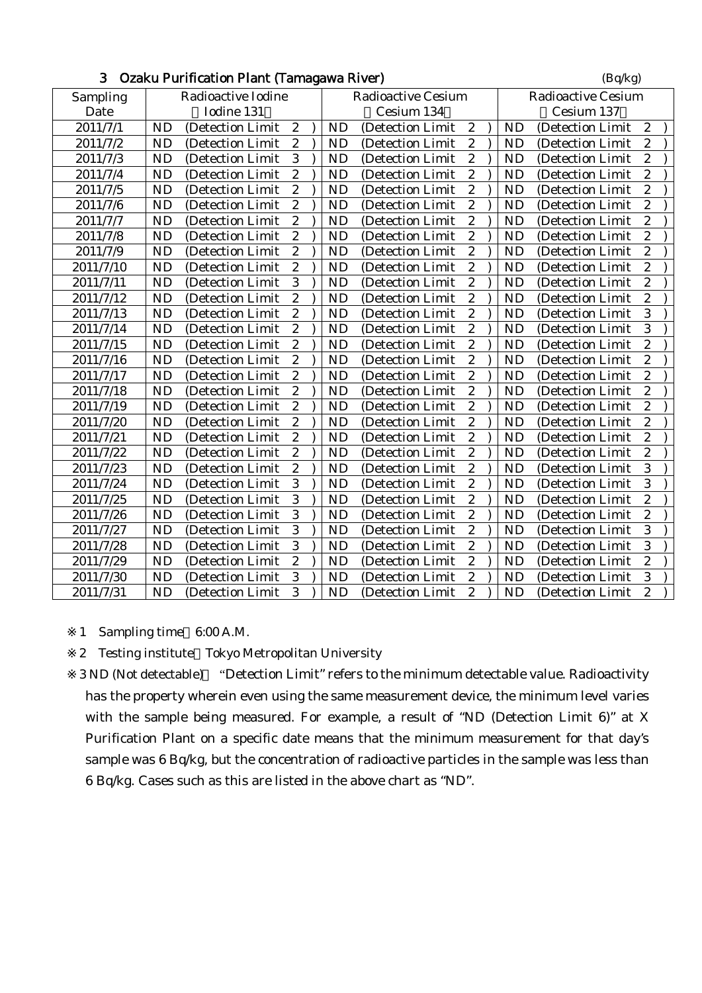| J.<br>Ozaku Purification Piant (Tamagawa River) |           |                    |                  |                           |           |                           |                         |  |           | (Bq/Kg)           |                  |
|-------------------------------------------------|-----------|--------------------|------------------|---------------------------|-----------|---------------------------|-------------------------|--|-----------|-------------------|------------------|
| Sampling                                        |           | Radioactive Iodine |                  | <b>Radioactive Cesium</b> |           | <b>Radioactive Cesium</b> |                         |  |           |                   |                  |
| Date                                            |           | Iodine 131         |                  |                           |           | Cesium 134                |                         |  |           | Cesium 137        |                  |
| 2011/7/1                                        | <b>ND</b> | (Detection Limit   | $\boldsymbol{2}$ |                           | <b>ND</b> | (Detection Limit          | $\boldsymbol{2}$        |  | <b>ND</b> | (Detection Limit  | $\boldsymbol{2}$ |
| 2011/7/2                                        | <b>ND</b> | (Detection Limit   | $\boldsymbol{2}$ |                           | <b>ND</b> | (Detection Limit          | $\boldsymbol{2}$        |  | <b>ND</b> | (Detection Limit  | $\boldsymbol{2}$ |
| 2011/7/3                                        | <b>ND</b> | (Detection Limit   | 3                |                           | <b>ND</b> | (Detection Limit          | $\boldsymbol{2}$        |  | <b>ND</b> | (Detection Limit  | $\boldsymbol{2}$ |
| 2011/7/4                                        | <b>ND</b> | (Detection Limit   | $\overline{c}$   |                           | <b>ND</b> | (Detection Limit          | $\boldsymbol{2}$        |  | <b>ND</b> | (Detection Limit  | $\overline{c}$   |
| 2011/7/5                                        | <b>ND</b> | (Detection Limit   | $\overline{c}$   |                           | <b>ND</b> | (Detection Limit          | $\boldsymbol{2}$        |  | <b>ND</b> | (Detection Limit  | $\boldsymbol{2}$ |
| 2011/7/6                                        | <b>ND</b> | (Detection Limit)  | $\overline{c}$   |                           | <b>ND</b> | (Detection Limit)         | $\boldsymbol{2}$        |  | <b>ND</b> | (Detection Limit) | $\overline{c}$   |
| 2011/7/7                                        | <b>ND</b> | (Detection Limit   | $\boldsymbol{2}$ |                           | <b>ND</b> | (Detection Limit          | $\boldsymbol{2}$        |  | <b>ND</b> | (Detection Limit  | $\boldsymbol{2}$ |
| 2011/7/8                                        | <b>ND</b> | (Detection Limit   | $\overline{c}$   |                           | <b>ND</b> | (Detection Limit          | $\overline{c}$          |  | <b>ND</b> | (Detection Limit  | $\overline{c}$   |
| 2011/7/9                                        | <b>ND</b> | (Detection Limit   | $\overline{c}$   |                           | <b>ND</b> | (Detection Limit          | $\overline{c}$          |  | <b>ND</b> | (Detection Limit  | $\overline{c}$   |
| 2011/7/10                                       | <b>ND</b> | (Detection Limit   | $\overline{c}$   |                           | <b>ND</b> | (Detection Limit          | $\boldsymbol{2}$        |  | <b>ND</b> | (Detection Limit  | $\overline{c}$   |
| 2011/7/11                                       | <b>ND</b> | (Detection Limit   | 3                |                           | <b>ND</b> | (Detection Limit          | $\boldsymbol{2}$        |  | <b>ND</b> | (Detection Limit  | $\overline{c}$   |
| 2011/7/12                                       | <b>ND</b> | (Detection Limit   | $\boldsymbol{2}$ |                           | <b>ND</b> | (Detection Limit          | $\boldsymbol{2}$        |  | <b>ND</b> | (Detection Limit  | $\boldsymbol{2}$ |
| 2011/7/13                                       | <b>ND</b> | (Detection Limit   | $\overline{c}$   |                           | <b>ND</b> | (Detection Limit          | $\overline{c}$          |  | <b>ND</b> | (Detection Limit  | 3                |
| 2011/7/14                                       | <b>ND</b> | (Detection Limit   | $\overline{c}$   |                           | <b>ND</b> | (Detection Limit          | $\overline{c}$          |  | <b>ND</b> | (Detection Limit  | 3                |
| 2011/7/15                                       | <b>ND</b> | (Detection Limit   | $\overline{c}$   |                           | <b>ND</b> | (Detection Limit          | $\overline{c}$          |  | <b>ND</b> | (Detection Limit  | $\overline{2}$   |
| 2011/7/16                                       | <b>ND</b> | (Detection Limit   | $\boldsymbol{2}$ |                           | <b>ND</b> | (Detection Limit          | $\boldsymbol{2}$        |  | <b>ND</b> | (Detection Limit  | $\boldsymbol{2}$ |
| 2011/7/17                                       | <b>ND</b> | (Detection Limit   | $\boldsymbol{2}$ |                           | <b>ND</b> | (Detection Limit          | $\boldsymbol{2}$        |  | <b>ND</b> | (Detection Limit  | $\boldsymbol{2}$ |
| 2011/7/18                                       | <b>ND</b> | (Detection Limit   | $\overline{c}$   |                           | <b>ND</b> | (Detection Limit          | $\overline{2}$          |  | <b>ND</b> | (Detection Limit  | $\overline{2}$   |
| 2011/7/19                                       | <b>ND</b> | (Detection Limit   | $\overline{c}$   |                           | <b>ND</b> | (Detection Limit          | $\overline{c}$          |  | <b>ND</b> | (Detection Limit  | $\overline{c}$   |
| 2011/7/20                                       | <b>ND</b> | (Detection Limit   | $\overline{c}$   |                           | <b>ND</b> | (Detection Limit          | $\boldsymbol{2}$        |  | <b>ND</b> | (Detection Limit  | $\overline{2}$   |
| 2011/7/21                                       | <b>ND</b> | (Detection Limit   | $\overline{c}$   |                           | <b>ND</b> | (Detection Limit          | $\overline{c}$          |  | <b>ND</b> | (Detection Limit  | $\overline{c}$   |
| 2011/7/22                                       | <b>ND</b> | (Detection Limit   | $\boldsymbol{2}$ |                           | <b>ND</b> | (Detection Limit          | $\overline{\mathbf{c}}$ |  | <b>ND</b> | (Detection Limit  | $\overline{c}$   |
| 2011/7/23                                       | <b>ND</b> | (Detection Limit)  | $\overline{c}$   |                           | <b>ND</b> | (Detection Limit          | $\overline{c}$          |  | <b>ND</b> | (Detection Limit  | 3                |
| 2011/7/24                                       | <b>ND</b> | (Detection Limit   | 3                |                           | <b>ND</b> | (Detection Limit          | $\boldsymbol{2}$        |  | <b>ND</b> | (Detection Limit  | 3                |
| 2011/7/25                                       | <b>ND</b> | (Detection Limit   | 3                |                           | <b>ND</b> | (Detection Limit          | $\boldsymbol{2}$        |  | <b>ND</b> | (Detection Limit  | $\overline{c}$   |
| 2011/7/26                                       | <b>ND</b> | (Detection Limit   | 3                |                           | <b>ND</b> | (Detection Limit          | $\boldsymbol{2}$        |  | <b>ND</b> | (Detection Limit  | $\boldsymbol{2}$ |
| 2011/7/27                                       | <b>ND</b> | (Detection Limit   | 3                |                           | <b>ND</b> | (Detection Limit          | $\overline{c}$          |  | <b>ND</b> | (Detection Limit  | 3                |
| 2011/7/28                                       | <b>ND</b> | (Detection Limit   | 3                |                           | <b>ND</b> | (Detection Limit          | $\overline{c}$          |  | <b>ND</b> | (Detection Limit  | 3                |
| 2011/7/29                                       | <b>ND</b> | (Detection Limit)  | $\boldsymbol{2}$ |                           | <b>ND</b> | (Detection Limit)         | $\boldsymbol{2}$        |  | <b>ND</b> | (Detection Limit  | $\overline{c}$   |
| 2011/7/30                                       | <b>ND</b> | (Detection Limit   | 3                |                           | <b>ND</b> | (Detection Limit          | $\overline{c}$          |  | <b>ND</b> | (Detection Limit  | 3                |
| 2011/7/31                                       | <b>ND</b> | (Detection Limit   | 3                |                           | <b>ND</b> | (Detection Limit          | $\boldsymbol{2}$        |  | <b>ND</b> | (Detection Limit  | $\overline{c}$   |

## $\mathbf{D}_{\text{c}}$  Osakion Plant (Tamagawa River) (Bq/kg)

1 Sampling time 6:00 A.M.

2 Testing institute Tokyo Metropolitan University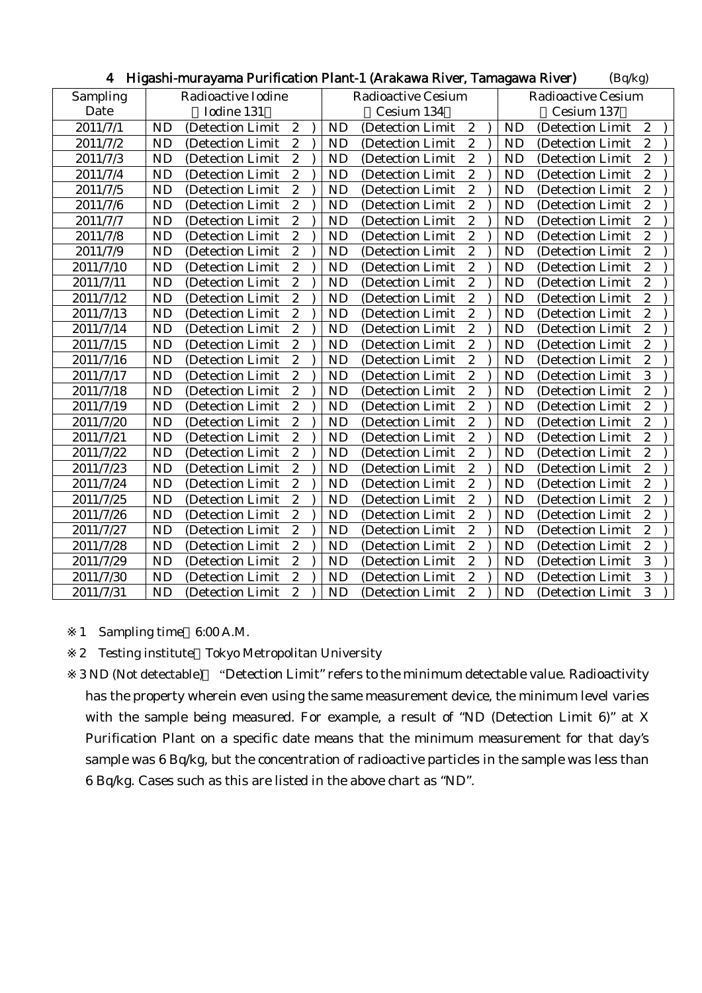| 4         | - Higashi-murayama Purification Piant-T (Arakawa River, Tamagawa River) |  |                           | (Bq/Kg)           |                           |  |                                                    |  |
|-----------|-------------------------------------------------------------------------|--|---------------------------|-------------------|---------------------------|--|----------------------------------------------------|--|
| Sampling  | Radioactive Iodine                                                      |  | <b>Radioactive Cesium</b> |                   | <b>Radioactive Cesium</b> |  |                                                    |  |
| Date      | Iodine 131                                                              |  | Cesium 134                |                   | Cesium 137                |  |                                                    |  |
| 2011/7/1  | $\boldsymbol{2}$<br><b>ND</b><br>(Detection Limit                       |  | <b>ND</b>                 | (Detection Limit  | $\boldsymbol{2}$          |  | $\boldsymbol{2}$<br><b>ND</b><br>(Detection Limit  |  |
| 2011/7/2  | $\boldsymbol{2}$<br><b>ND</b><br>(Detection Limit                       |  | <b>ND</b>                 | (Detection Limit  | $\boldsymbol{2}$          |  | $\boldsymbol{2}$<br><b>ND</b><br>(Detection Limit  |  |
| 2011/7/3  | $\boldsymbol{2}$<br><b>ND</b><br>(Detection Limit                       |  | <b>ND</b>                 | (Detection Limit  | $\boldsymbol{2}$          |  | $\boldsymbol{2}$<br><b>ND</b><br>(Detection Limit  |  |
| 2011/7/4  | $\boldsymbol{2}$<br><b>ND</b><br>(Detection Limit                       |  | <b>ND</b>                 | (Detection Limit  | $\boldsymbol{2}$          |  | $\boldsymbol{2}$<br><b>ND</b><br>(Detection Limit  |  |
| 2011/7/5  | $\boldsymbol{2}$<br><b>ND</b><br>(Detection Limit)                      |  | <b>ND</b>                 | (Detection Limit  | $\boldsymbol{2}$          |  | $\boldsymbol{2}$<br><b>ND</b><br>(Detection Limit  |  |
| 2011/7/6  | $\overline{c}$<br><b>ND</b><br>(Detection Limit                         |  | <b>ND</b>                 | (Detection Limit  | $\overline{c}$            |  | $\overline{c}$<br><b>ND</b><br>(Detection Limit    |  |
| 2011/7/7  | <b>ND</b><br>$\boldsymbol{2}$<br>(Detection Limit                       |  | <b>ND</b>                 | (Detection Limit  | $\sqrt{2}$                |  | $\boldsymbol{2}$<br><b>ND</b><br>(Detection Limit  |  |
| 2011/7/8  | $\overline{2}$<br><b>ND</b><br>(Detection Limit                         |  | <b>ND</b>                 | (Detection Limit  | $\overline{c}$            |  | $\overline{c}$<br><b>ND</b><br>(Detection Limit    |  |
| 2011/7/9  | $\overline{2}$<br><b>ND</b><br>(Detection Limit                         |  | <b>ND</b>                 | (Detection Limit  | $\overline{c}$            |  | $\overline{c}$<br><b>ND</b><br>(Detection Limit    |  |
| 2011/7/10 | $\boldsymbol{2}$<br><b>ND</b><br>(Detection Limit                       |  | <b>ND</b>                 | (Detection Limit  | $\overline{c}$            |  | $\boldsymbol{2}$<br><b>ND</b><br>(Detection Limit  |  |
| 2011/7/11 | $\boldsymbol{2}$<br><b>ND</b><br>(Detection Limit)                      |  | <b>ND</b>                 | (Detection Limit) | $\boldsymbol{2}$          |  | $\boldsymbol{2}$<br><b>ND</b><br>(Detection Limit) |  |
| 2011/7/12 | $\boldsymbol{2}$<br><b>ND</b><br>(Detection Limit                       |  | <b>ND</b>                 | (Detection Limit  | $\boldsymbol{2}$          |  | $\boldsymbol{2}$<br><b>ND</b><br>(Detection Limit  |  |
| 2011/7/13 | $\boldsymbol{2}$<br><b>ND</b><br>(Detection Limit                       |  | <b>ND</b>                 | (Detection Limit  | $\overline{c}$            |  | $\overline{c}$<br><b>ND</b><br>(Detection Limit    |  |
| 2011/7/14 | $\overline{c}$<br><b>ND</b><br>(Detection Limit                         |  | <b>ND</b>                 | (Detection Limit  | $\overline{c}$            |  | $\overline{c}$<br><b>ND</b><br>(Detection Limit    |  |
| 2011/7/15 | $\overline{2}$<br><b>ND</b><br>(Detection Limit                         |  | <b>ND</b>                 | (Detection Limit  | $\overline{c}$            |  | $\overline{2}$<br><b>ND</b><br>(Detection Limit)   |  |
| 2011/7/16 | $\boldsymbol{2}$<br><b>ND</b><br>(Detection Limit)                      |  | <b>ND</b>                 | (Detection Limit) | $\boldsymbol{2}$          |  | $\mathbf{2}$<br><b>ND</b><br>(Detection Limit)     |  |
| 2011/7/17 | $\boldsymbol{2}$<br><b>ND</b><br>(Detection Limit                       |  | <b>ND</b>                 | (Detection Limit  | $\boldsymbol{2}$          |  | 3<br><b>ND</b><br>(Detection Limit                 |  |
| 2011/7/18 | $\overline{c}$<br><b>ND</b><br>(Detection Limit                         |  | <b>ND</b>                 | (Detection Limit  | $\boldsymbol{2}$          |  | $\boldsymbol{2}$<br><b>ND</b><br>(Detection Limit  |  |
| 2011/7/19 | $\overline{c}$<br><b>ND</b><br>(Detection Limit                         |  | <b>ND</b>                 | (Detection Limit  | $\overline{c}$            |  | $\overline{c}$<br><b>ND</b><br>(Detection Limit    |  |
| 2011/7/20 | $\boldsymbol{2}$<br><b>ND</b><br>(Detection Limit                       |  | <b>ND</b>                 | (Detection Limit  | $\boldsymbol{2}$          |  | $\overline{c}$<br><b>ND</b><br>(Detection Limit    |  |
| 2011/7/21 | $\boldsymbol{2}$<br><b>ND</b><br>(Detection Limit                       |  | <b>ND</b>                 | (Detection Limit  | $\boldsymbol{2}$          |  | $\boldsymbol{2}$<br><b>ND</b><br>(Detection Limit  |  |
| 2011/7/22 | $\overline{c}$<br><b>ND</b><br>(Detection Limit                         |  | <b>ND</b>                 | (Detection Limit  | $\overline{c}$            |  | $\overline{c}$<br><b>ND</b><br>(Detection Limit    |  |
| 2011/7/23 | $\overline{c}$<br><b>ND</b><br>(Detection Limit                         |  | <b>ND</b>                 | (Detection Limit  | $\boldsymbol{2}$          |  | $\boldsymbol{2}$<br><b>ND</b><br>(Detection Limit  |  |
| 2011/7/24 | $\boldsymbol{2}$<br><b>ND</b><br>(Detection Limit)                      |  | <b>ND</b>                 | (Detection Limit) | $\boldsymbol{2}$          |  | $\boldsymbol{2}$<br><b>ND</b><br>(Detection Limit) |  |
| 2011/7/25 | $\boldsymbol{2}$<br><b>ND</b><br>(Detection Limit                       |  | <b>ND</b>                 | (Detection Limit  | $\boldsymbol{2}$          |  | $\overline{c}$<br><b>ND</b><br>(Detection Limit    |  |
| 2011/7/26 | <b>ND</b><br>$\boldsymbol{2}$<br>(Detection Limit                       |  | <b>ND</b>                 | (Detection Limit  | $\boldsymbol{2}$          |  | $\boldsymbol{2}$<br><b>ND</b><br>(Detection Limit  |  |
| 2011/7/27 | $\overline{2}$<br><b>ND</b><br>(Detection Limit                         |  | <b>ND</b>                 | (Detection Limit  | $\overline{2}$            |  | $\overline{c}$<br><b>ND</b><br>(Detection Limit    |  |
| 2011/7/28 | $\overline{c}$<br><b>ND</b><br>(Detection Limit                         |  | <b>ND</b>                 | (Detection Limit  | $\overline{2}$            |  | $\overline{c}$<br><b>ND</b><br>(Detection Limit    |  |
| 2011/7/29 | $\overline{c}$<br><b>ND</b><br>(Detection Limit)                        |  | <b>ND</b>                 | (Detection Limit  | $\boldsymbol{2}$          |  | 3<br><b>ND</b><br>(Detection Limit                 |  |
| 2011/7/30 | $\boldsymbol{2}$<br><b>ND</b><br>(Detection Limit                       |  | <b>ND</b>                 | (Detection Limit  | $\boldsymbol{2}$          |  | 3<br><b>ND</b><br>(Detection Limit                 |  |
| 2011/7/31 | <b>ND</b><br>$\boldsymbol{2}$<br>(Detection Limit)                      |  | <b>ND</b>                 | (Detection Limit  | $\boldsymbol{2}$          |  | 3<br><b>ND</b><br>(Detection Limit)                |  |

## 4 Higashi-murayama Durification Plant-1 (Arakawa Piyer, Tamagawa Piyer) (Bq/kg)

1 Sampling time 6:00 A.M.

2 Testing institute Tokyo Metropolitan University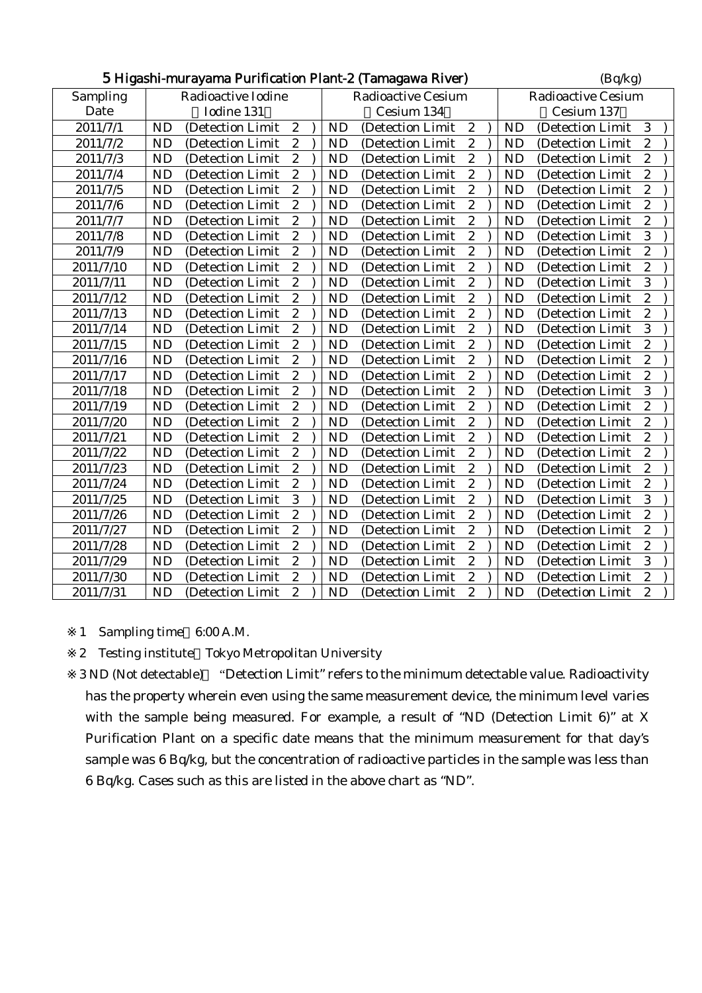|           | 5 Higashi-murayama Purification Plant-2 (Tamagawa River) |  |                           |                           | (Bq/kg)          |  |                                                    |  |
|-----------|----------------------------------------------------------|--|---------------------------|---------------------------|------------------|--|----------------------------------------------------|--|
| Sampling  | Radioactive Iodine                                       |  | <b>Radioactive Cesium</b> | <b>Radioactive Cesium</b> |                  |  |                                                    |  |
| Date      | Iodine 131                                               |  |                           | Cesium 134                |                  |  | Cesium 137                                         |  |
| 2011/7/1  | $\boldsymbol{2}$<br><b>ND</b><br>(Detection Limit)       |  | <b>ND</b>                 | (Detection Limit)         | $\boldsymbol{2}$ |  | <b>ND</b><br>3<br>(Detection Limit                 |  |
| 2011/7/2  | $\boldsymbol{2}$<br><b>ND</b><br>(Detection Limit        |  | <b>ND</b>                 | (Detection Limit          | $\boldsymbol{2}$ |  | $\overline{c}$<br><b>ND</b><br>(Detection Limit    |  |
| 2011/7/3  | $\boldsymbol{2}$<br><b>ND</b><br>(Detection Limit        |  | <b>ND</b>                 | (Detection Limit          | $\boldsymbol{2}$ |  | $\overline{c}$<br><b>ND</b><br>(Detection Limit    |  |
| 2011/7/4  | <b>ND</b><br>$\boldsymbol{2}$<br>(Detection Limit        |  | <b>ND</b>                 | (Detection Limit          | $\boldsymbol{2}$ |  | $\boldsymbol{2}$<br><b>ND</b><br>(Detection Limit  |  |
| 2011/7/5  | $\overline{c}$<br><b>ND</b><br>(Detection Limit          |  | <b>ND</b>                 | (Detection Limit          | $\boldsymbol{2}$ |  | $\overline{c}$<br><b>ND</b><br>(Detection Limit    |  |
| 2011/7/6  | $\overline{c}$<br><b>ND</b><br>(Detection Limit)         |  | <b>ND</b>                 | (Detection Limit          | $\overline{2}$   |  | $\overline{c}$<br><b>ND</b><br>(Detection Limit    |  |
| 2011/7/7  | $\overline{c}$<br><b>ND</b><br>(Detection Limit)         |  | <b>ND</b>                 | (Detection Limit)         | $\boldsymbol{2}$ |  | $\boldsymbol{2}$<br><b>ND</b><br>(Detection Limit) |  |
| 2011/7/8  | $\boldsymbol{2}$<br><b>ND</b><br>(Detection Limit)       |  | <b>ND</b>                 | (Detection Limit          | $\overline{c}$   |  | 3<br><b>ND</b><br>(Detection Limit)                |  |
| 2011/7/9  | $\boldsymbol{2}$<br><b>ND</b><br>(Detection Limit)       |  | <b>ND</b>                 | (Detection Limit          | $\overline{c}$   |  | $\overline{c}$<br><b>ND</b><br>(Detection Limit    |  |
| 2011/7/10 | <b>ND</b><br>$\boldsymbol{2}$<br>(Detection Limit        |  | <b>ND</b>                 | (Detection Limit          | $\boldsymbol{2}$ |  | $\overline{c}$<br><b>ND</b><br>(Detection Limit    |  |
| 2011/7/11 | $\overline{c}$<br><b>ND</b><br>(Detection Limit)         |  | ND                        | (Detection Limit          | $\overline{c}$   |  | 3<br><b>ND</b><br>(Detection Limit                 |  |
| 2011/7/12 | $\overline{c}$<br><b>ND</b><br>(Detection Limit          |  | ND                        | (Detection Limit          | $\overline{c}$   |  | $\overline{c}$<br><b>ND</b><br>(Detection Limit    |  |
| 2011/7/13 | $\overline{c}$<br><b>ND</b><br>(Detection Limit)         |  | <b>ND</b>                 | (Detection Limit          | $\overline{c}$   |  | $\overline{c}$<br><b>ND</b><br>(Detection Limit)   |  |
| 2011/7/14 | $\boldsymbol{2}$<br><b>ND</b><br>(Detection Limit        |  | <b>ND</b>                 | (Detection Limit          | $\boldsymbol{2}$ |  | 3<br><b>ND</b><br>(Detection Limit                 |  |
| 2011/7/15 | <b>ND</b><br>$\boldsymbol{2}$<br>(Detection Limit        |  | <b>ND</b>                 | (Detection Limit          | $\boldsymbol{2}$ |  | $\overline{c}$<br><b>ND</b><br>(Detection Limit    |  |
| 2011/7/16 | $\overline{c}$<br><b>ND</b><br>(Detection Limit          |  | <b>ND</b>                 | (Detection Limit          | $\boldsymbol{2}$ |  | $\overline{c}$<br><b>ND</b><br>(Detection Limit)   |  |
| 2011/7/17 | $\overline{2}$<br><b>ND</b><br>(Detection Limit          |  | <b>ND</b>                 | (Detection Limit          | $\overline{c}$   |  | $\overline{c}$<br><b>ND</b><br>(Detection Limit    |  |
| 2011/7/18 | $\overline{c}$<br><b>ND</b><br>(Detection Limit          |  | <b>ND</b>                 | (Detection Limit          | $\overline{c}$   |  | 3<br><b>ND</b><br>(Detection Limit                 |  |
| 2011/7/19 | $\boldsymbol{2}$<br><b>ND</b><br>(Detection Limit        |  | <b>ND</b>                 | (Detection Limit          | $\overline{c}$   |  | $\overline{c}$<br><b>ND</b><br>(Detection Limit    |  |
| 2011/7/20 | <b>ND</b><br>$\boldsymbol{2}$<br>(Detection Limit        |  | <b>ND</b>                 | (Detection Limit          | $\boldsymbol{2}$ |  | $\overline{c}$<br><b>ND</b><br>(Detection Limit    |  |
| 2011/7/21 | $\overline{c}$<br><b>ND</b><br>(Detection Limit          |  | <b>ND</b>                 | (Detection Limit          | $\boldsymbol{2}$ |  | $\overline{c}$<br><b>ND</b><br>(Detection Limit    |  |
| 2011/7/22 | $\overline{c}$<br><b>ND</b><br>(Detection Limit          |  | <b>ND</b>                 | (Detection Limit          | $\boldsymbol{2}$ |  | $\overline{c}$<br><b>ND</b><br>(Detection Limit    |  |
| 2011/7/23 | $\overline{c}$<br><b>ND</b><br>(Detection Limit          |  | <b>ND</b>                 | (Detection Limit)         | $\boldsymbol{2}$ |  | $\overline{c}$<br><b>ND</b><br>(Detection Limit    |  |
| 2011/7/24 | $\overline{c}$<br><b>ND</b><br>(Detection Limit          |  | <b>ND</b>                 | (Detection Limit          | $\overline{c}$   |  | $\overline{c}$<br><b>ND</b><br>(Detection Limit)   |  |
| 2011/7/25 | 3<br><b>ND</b><br>(Detection Limit                       |  | <b>ND</b>                 | (Detection Limit          | $\overline{c}$   |  | 3<br><b>ND</b><br>(Detection Limit                 |  |
| 2011/7/26 | <b>ND</b><br>$\boldsymbol{2}$<br>(Detection Limit        |  | <b>ND</b>                 | (Detection Limit          | $\boldsymbol{2}$ |  | $\overline{c}$<br><b>ND</b><br>(Detection Limit    |  |
| 2011/7/27 | $\overline{c}$<br><b>ND</b><br>(Detection Limit          |  | <b>ND</b>                 | (Detection Limit          | $\overline{c}$   |  | $\overline{c}$<br><b>ND</b><br>(Detection Limit    |  |
| 2011/7/28 | $\overline{2}$<br><b>ND</b><br>(Detection Limit          |  | <b>ND</b>                 | (Detection Limit          | $\overline{c}$   |  | $\overline{c}$<br><b>ND</b><br>(Detection Limit    |  |
| 2011/7/29 | $\overline{c}$<br><b>ND</b><br>(Detection Limit          |  | <b>ND</b>                 | (Detection Limit          | $\overline{c}$   |  | 3<br><b>ND</b><br>(Detection Limit                 |  |
| 2011/7/30 | $\boldsymbol{2}$<br><b>ND</b><br>(Detection Limit        |  | <b>ND</b>                 | (Detection Limit          | $\overline{c}$   |  | $\overline{c}$<br><b>ND</b><br>(Detection Limit    |  |
| 2011/7/31 | <b>ND</b><br>$\overline{2}$<br>(Detection Limit          |  | <b>ND</b>                 | (Detection Limit          | $\overline{2}$   |  | $\overline{2}$<br><b>ND</b><br>(Detection Limit    |  |

1 Sampling time 6:00 A.M.

2 Testing institute Tokyo Metropolitan University